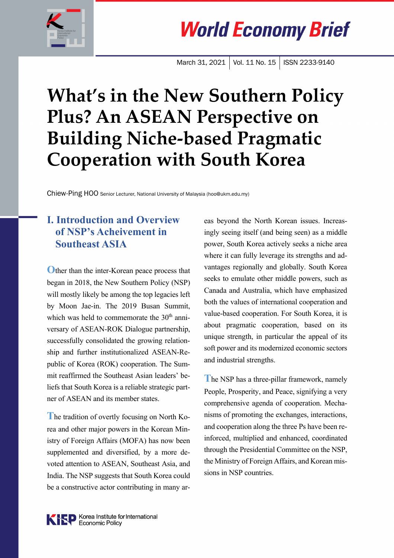

# **World Economy Brief**

March 31, 2021 | Vol. 11 No. 15 | ISSN 2233-9140

## **What's in the New Southern Policy Plus? An ASEAN Perspective on Building Niche-based Pragmatic Cooperation with South Korea**

Chiew-Ping HOO Senior Lecturer, National University of Malaysia (hoo@ukm.edu.my)

## **I. Introduction and Overview of NSP's Acheivement in Southeast ASIA**

**O**ther than the inter-Korean peace process that began in 2018, the New Southern Policy (NSP) will mostly likely be among the top legacies left by Moon Jae-in. The 2019 Busan Summit, which was held to commemorate the  $30<sup>th</sup>$  anniversary of ASEAN-ROK Dialogue partnership, successfully consolidated the growing relationship and further institutionalized ASEAN-Republic of Korea (ROK) cooperation. The Summit reaffirmed the Southeast Asian leaders' beliefs that South Korea is a reliable strategic partner of ASEAN and its member states.

**T**he tradition of overtly focusing on North Korea and other major powers in the Korean Ministry of Foreign Affairs (MOFA) has now been supplemented and diversified, by a more devoted attention to ASEAN, Southeast Asia, and India. The NSP suggests that South Korea could be a constructive actor contributing in many areas beyond the North Korean issues. Increasingly seeing itself (and being seen) as a middle power, South Korea actively seeks a niche area where it can fully leverage its strengths and advantages regionally and globally. South Korea seeks to emulate other middle powers, such as Canada and Australia, which have emphasized both the values of international cooperation and value-based cooperation. For South Korea, it is about pragmatic cooperation, based on its unique strength, in particular the appeal of its soft power and its modernized economic sectors and industrial strengths.

**T**he NSP has a three-pillar framework, namely People, Prosperity, and Peace, signifying a very comprehensive agenda of cooperation. Mechanisms of promoting the exchanges, interactions, and cooperation along the three Ps have been reinforced, multiplied and enhanced, coordinated through the Presidential Committee on the NSP, the Ministry of Foreign Affairs, and Korean missions in NSP countries.

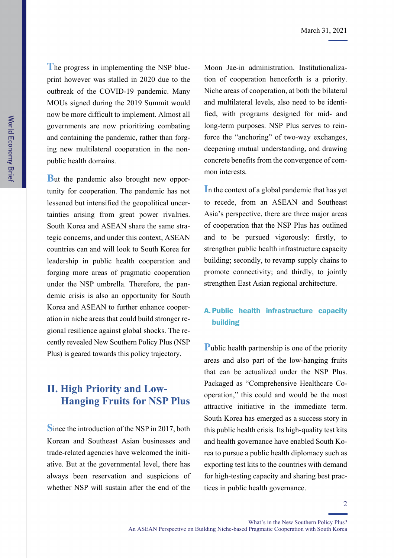**T**he progress in implementing the NSP blueprint however was stalled in 2020 due to the outbreak of the COVID-19 pandemic. Many MOUs signed during the 2019 Summit would now be more difficult to implement. Almost all governments are now prioritizing combating and containing the pandemic, rather than forging new multilateral cooperation in the nonpublic health domains.

**But the pandemic also brought new oppor**tunity for cooperation. The pandemic has not lessened but intensified the geopolitical uncertainties arising from great power rivalries. South Korea and ASEAN share the same strategic concerns, and under this context, ASEAN countries can and will look to South Korea for leadership in public health cooperation and forging more areas of pragmatic cooperation under the NSP umbrella. Therefore, the pandemic crisis is also an opportunity for South Korea and ASEAN to further enhance cooperation in niche areas that could build stronger regional resilience against global shocks. The recently revealed New Southern Policy Plus (NSP Plus) is geared towards this policy trajectory.

## **II. High Priority and Low-Hanging Fruits for NSP Plus**

**S**ince the introduction of the NSP in 2017, both Korean and Southeast Asian businesses and trade-related agencies have welcomed the initiative. But at the governmental level, there has always been reservation and suspicions of whether NSP will sustain after the end of the Moon Jae-in administration. Institutionalization of cooperation henceforth is a priority. Niche areas of cooperation, at both the bilateral and multilateral levels, also need to be identified, with programs designed for mid- and long-term purposes. NSP Plus serves to reinforce the "anchoring" of two-way exchanges, deepening mutual understanding, and drawing concrete benefits from the convergence of common interests.

**I**n the context of a global pandemic that has yet to recede, from an ASEAN and Southeast Asia's perspective, there are three major areas of cooperation that the NSP Plus has outlined and to be pursued vigorously: firstly, to strengthen public health infrastructure capacity building; secondly, to revamp supply chains to promote connectivity; and thirdly, to jointly strengthen East Asian regional architecture.

#### A.Public health infrastructure capacity building

**P**ublic health partnership is one of the priority areas and also part of the low-hanging fruits that can be actualized under the NSP Plus. Packaged as "Comprehensive Healthcare Cooperation," this could and would be the most attractive initiative in the immediate term. South Korea has emerged as a success story in this public health crisis. Its high-quality test kits and health governance have enabled South Korea to pursue a public health diplomacy such as exporting test kits to the countries with demand for high-testing capacity and sharing best practices in public health governance.

2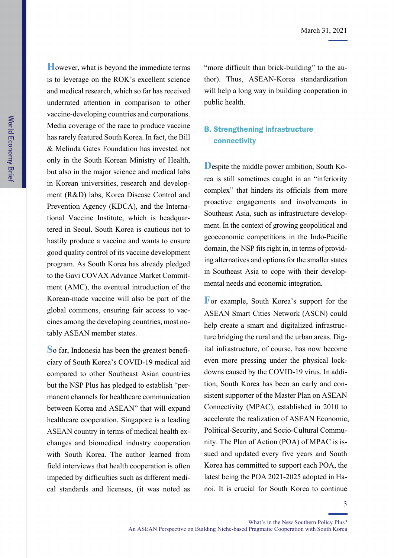**H**owever, what is beyond the immediate terms is to leverage on the ROK's excellent science and medical research, which so far has received underrated attention in comparison to other vaccine-developing countries and corporations. Media coverage of the race to produce vaccine has rarely featured South Korea. In fact, the Bill & Melinda Gates Foundation has invested not only in the South Korean Ministry of Health, but also in the major science and medical labs in Korean universities, research and development (R&D) labs, Korea Disease Control and Prevention Agency (KDCA), and the International Vaccine Institute, which is headquartered in Seoul. South Korea is cautious not to hastily produce a vaccine and wants to ensure good quality control of its vaccine development program. As South Korea has already pledged to the Gavi COVAX Advance Market Commitment (AMC), the eventual introduction of the Korean-made vaccine will also be part of the global commons, ensuring fair access to vaccines among the developing countries, most notably ASEAN member states.

**S**o far, Indonesia has been the greatest beneficiary of South Korea's COVID-19 medical aid compared to other Southeast Asian countries but the NSP Plus has pledged to establish "permanent channels for healthcare communication between Korea and ASEAN" that will expand healthcare cooperation. Singapore is a leading ASEAN country in terms of medical health exchanges and biomedical industry cooperation with South Korea. The author learned from field interviews that health cooperation is often impeded by difficulties such as different medical standards and licenses, (it was noted as

"more difficult than brick-building" to the author). Thus, ASEAN-Korea standardization will help a long way in building cooperation in public health.

#### B. Strengthening infrastructure connectivity

**D**espite the middle power ambition, South Korea is still sometimes caught in an "inferiority complex" that hinders its officials from more proactive engagements and involvements in Southeast Asia, such as infrastructure development. In the context of growing geopolitical and geoeconomic competitions in the Indo-Pacific domain, the NSP fits right in, in terms of providing alternatives and options for the smaller states in Southeast Asia to cope with their developmental needs and economic integration.

**F**or example, South Korea's support for the ASEAN Smart Cities Network (ASCN) could help create a smart and digitalized infrastructure bridging the rural and the urban areas. Digital infrastructure, of course, has now become even more pressing under the physical lockdowns caused by the COVID-19 virus. In addition, South Korea has been an early and consistent supporter of the Master Plan on ASEAN Connectivity (MPAC), established in 2010 to accelerate the realization of ASEAN Economic, Political-Security, and Socio-Cultural Community. The Plan of Action (POA) of MPAC is issued and updated every five years and South Korea has committed to support each POA, the latest being the POA 2021-2025 adopted in Hanoi. It is crucial for South Korea to continue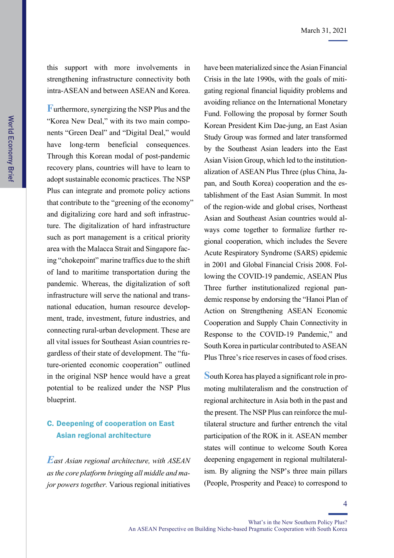March 31, 2021

this support with more involvements in strengthening infrastructure connectivity both intra-ASEAN and between ASEAN and Korea.

**F**urthermore, synergizing the NSP Plus and the "Korea New Deal," with its two main components "Green Deal" and "Digital Deal," would have long-term beneficial consequences. Through this Korean modal of post-pandemic recovery plans, countries will have to learn to adopt sustainable economic practices. The NSP Plus can integrate and promote policy actions that contribute to the "greening of the economy" and digitalizing core hard and soft infrastructure. The digitalization of hard infrastructure such as port management is a critical priority area with the Malacca Strait and Singapore facing "chokepoint" marine traffics due to the shift of land to maritime transportation during the pandemic. Whereas, the digitalization of soft infrastructure will serve the national and transnational education, human resource development, trade, investment, future industries, and connecting rural-urban development. These are all vital issues for Southeast Asian countries regardless of their state of development. The "future-oriented economic cooperation" outlined in the original NSP hence would have a great potential to be realized under the NSP Plus blueprint.

#### C. Deepening of cooperation on East Asian regional architecture

*East Asian regional architecture, with ASEAN as the core platform bringing all middle and major powers together.* Various regional initiatives have been materialized since the Asian Financial Crisis in the late 1990s, with the goals of mitigating regional financial liquidity problems and avoiding reliance on the International Monetary Fund. Following the proposal by former South Korean President Kim Dae-jung, an East Asian Study Group was formed and later transformed by the Southeast Asian leaders into the East Asian Vision Group, which led to the institutionalization of ASEAN Plus Three (plus China, Japan, and South Korea) cooperation and the establishment of the East Asian Summit. In most of the region-wide and global crises, Northeast Asian and Southeast Asian countries would always come together to formalize further regional cooperation, which includes the Severe Acute Respiratory Syndrome (SARS) epidemic in 2001 and Global Financial Crisis 2008. Following the COVID-19 pandemic, ASEAN Plus Three further institutionalized regional pandemic response by endorsing the "Hanoi Plan of Action on Strengthening ASEAN Economic Cooperation and Supply Chain Connectivity in Response to the COVID-19 Pandemic," and South Korea in particular contributed to ASEAN Plus Three's rice reserves in cases of food crises.

**S**outh Korea has played a significant role in promoting multilateralism and the construction of regional architecture in Asia both in the past and the present. The NSP Plus can reinforce the multilateral structure and further entrench the vital participation of the ROK in it. ASEAN member states will continue to welcome South Korea deepening engagement in regional multilateralism. By aligning the NSP's three main pillars (People, Prosperity and Peace) to correspond to

4